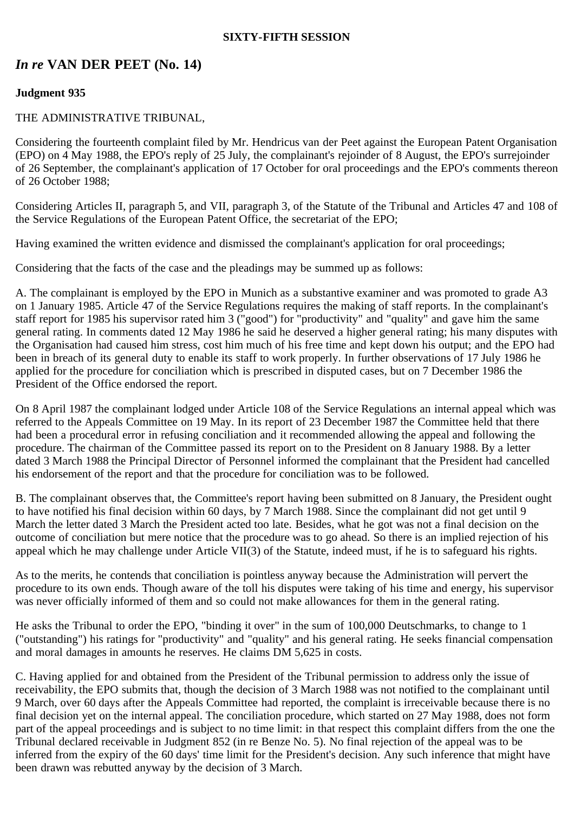### **SIXTY-FIFTH SESSION**

# *In re* **VAN DER PEET (No. 14)**

## **Judgment 935**

## THE ADMINISTRATIVE TRIBUNAL,

Considering the fourteenth complaint filed by Mr. Hendricus van der Peet against the European Patent Organisation (EPO) on 4 May 1988, the EPO's reply of 25 July, the complainant's rejoinder of 8 August, the EPO's surrejoinder of 26 September, the complainant's application of 17 October for oral proceedings and the EPO's comments thereon of 26 October 1988;

Considering Articles II, paragraph 5, and VII, paragraph 3, of the Statute of the Tribunal and Articles 47 and 108 of the Service Regulations of the European Patent Office, the secretariat of the EPO;

Having examined the written evidence and dismissed the complainant's application for oral proceedings;

Considering that the facts of the case and the pleadings may be summed up as follows:

A. The complainant is employed by the EPO in Munich as a substantive examiner and was promoted to grade A3 on 1 January 1985. Article 47 of the Service Regulations requires the making of staff reports. In the complainant's staff report for 1985 his supervisor rated him 3 ("good") for "productivity" and "quality" and gave him the same general rating. In comments dated 12 May 1986 he said he deserved a higher general rating; his many disputes with the Organisation had caused him stress, cost him much of his free time and kept down his output; and the EPO had been in breach of its general duty to enable its staff to work properly. In further observations of 17 July 1986 he applied for the procedure for conciliation which is prescribed in disputed cases, but on 7 December 1986 the President of the Office endorsed the report.

On 8 April 1987 the complainant lodged under Article 108 of the Service Regulations an internal appeal which was referred to the Appeals Committee on 19 May. In its report of 23 December 1987 the Committee held that there had been a procedural error in refusing conciliation and it recommended allowing the appeal and following the procedure. The chairman of the Committee passed its report on to the President on 8 January 1988. By a letter dated 3 March 1988 the Principal Director of Personnel informed the complainant that the President had cancelled his endorsement of the report and that the procedure for conciliation was to be followed.

B. The complainant observes that, the Committee's report having been submitted on 8 January, the President ought to have notified his final decision within 60 days, by 7 March 1988. Since the complainant did not get until 9 March the letter dated 3 March the President acted too late. Besides, what he got was not a final decision on the outcome of conciliation but mere notice that the procedure was to go ahead. So there is an implied rejection of his appeal which he may challenge under Article VII(3) of the Statute, indeed must, if he is to safeguard his rights.

As to the merits, he contends that conciliation is pointless anyway because the Administration will pervert the procedure to its own ends. Though aware of the toll his disputes were taking of his time and energy, his supervisor was never officially informed of them and so could not make allowances for them in the general rating.

He asks the Tribunal to order the EPO, "binding it over" in the sum of 100,000 Deutschmarks, to change to 1 ("outstanding") his ratings for "productivity" and "quality" and his general rating. He seeks financial compensation and moral damages in amounts he reserves. He claims DM 5,625 in costs.

C. Having applied for and obtained from the President of the Tribunal permission to address only the issue of receivability, the EPO submits that, though the decision of 3 March 1988 was not notified to the complainant until 9 March, over 60 days after the Appeals Committee had reported, the complaint is irreceivable because there is no final decision yet on the internal appeal. The conciliation procedure, which started on 27 May 1988, does not form part of the appeal proceedings and is subject to no time limit: in that respect this complaint differs from the one the Tribunal declared receivable in Judgment 852 (in re Benze No. 5). No final rejection of the appeal was to be inferred from the expiry of the 60 days' time limit for the President's decision. Any such inference that might have been drawn was rebutted anyway by the decision of 3 March.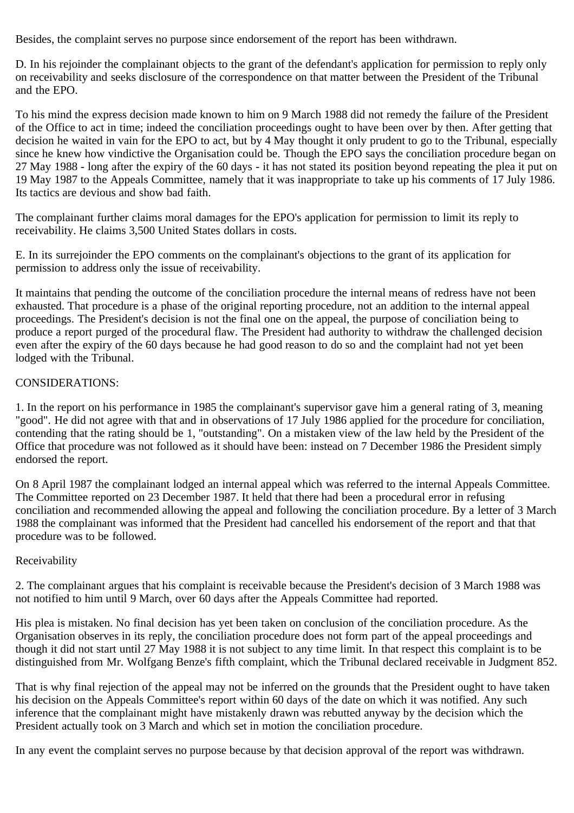Besides, the complaint serves no purpose since endorsement of the report has been withdrawn.

D. In his rejoinder the complainant objects to the grant of the defendant's application for permission to reply only on receivability and seeks disclosure of the correspondence on that matter between the President of the Tribunal and the EPO.

To his mind the express decision made known to him on 9 March 1988 did not remedy the failure of the President of the Office to act in time; indeed the conciliation proceedings ought to have been over by then. After getting that decision he waited in vain for the EPO to act, but by 4 May thought it only prudent to go to the Tribunal, especially since he knew how vindictive the Organisation could be. Though the EPO says the conciliation procedure began on 27 May 1988 - long after the expiry of the 60 days - it has not stated its position beyond repeating the plea it put on 19 May 1987 to the Appeals Committee, namely that it was inappropriate to take up his comments of 17 July 1986. Its tactics are devious and show bad faith.

The complainant further claims moral damages for the EPO's application for permission to limit its reply to receivability. He claims 3,500 United States dollars in costs.

E. In its surrejoinder the EPO comments on the complainant's objections to the grant of its application for permission to address only the issue of receivability.

It maintains that pending the outcome of the conciliation procedure the internal means of redress have not been exhausted. That procedure is a phase of the original reporting procedure, not an addition to the internal appeal proceedings. The President's decision is not the final one on the appeal, the purpose of conciliation being to produce a report purged of the procedural flaw. The President had authority to withdraw the challenged decision even after the expiry of the 60 days because he had good reason to do so and the complaint had not yet been lodged with the Tribunal.

### CONSIDERATIONS:

1. In the report on his performance in 1985 the complainant's supervisor gave him a general rating of 3, meaning "good". He did not agree with that and in observations of 17 July 1986 applied for the procedure for conciliation, contending that the rating should be 1, "outstanding". On a mistaken view of the law held by the President of the Office that procedure was not followed as it should have been: instead on 7 December 1986 the President simply endorsed the report.

On 8 April 1987 the complainant lodged an internal appeal which was referred to the internal Appeals Committee. The Committee reported on 23 December 1987. It held that there had been a procedural error in refusing conciliation and recommended allowing the appeal and following the conciliation procedure. By a letter of 3 March 1988 the complainant was informed that the President had cancelled his endorsement of the report and that that procedure was to be followed.

## Receivability

2. The complainant argues that his complaint is receivable because the President's decision of 3 March 1988 was not notified to him until 9 March, over 60 days after the Appeals Committee had reported.

His plea is mistaken. No final decision has yet been taken on conclusion of the conciliation procedure. As the Organisation observes in its reply, the conciliation procedure does not form part of the appeal proceedings and though it did not start until 27 May 1988 it is not subject to any time limit. In that respect this complaint is to be distinguished from Mr. Wolfgang Benze's fifth complaint, which the Tribunal declared receivable in Judgment 852.

That is why final rejection of the appeal may not be inferred on the grounds that the President ought to have taken his decision on the Appeals Committee's report within 60 days of the date on which it was notified. Any such inference that the complainant might have mistakenly drawn was rebutted anyway by the decision which the President actually took on 3 March and which set in motion the conciliation procedure.

In any event the complaint serves no purpose because by that decision approval of the report was withdrawn.